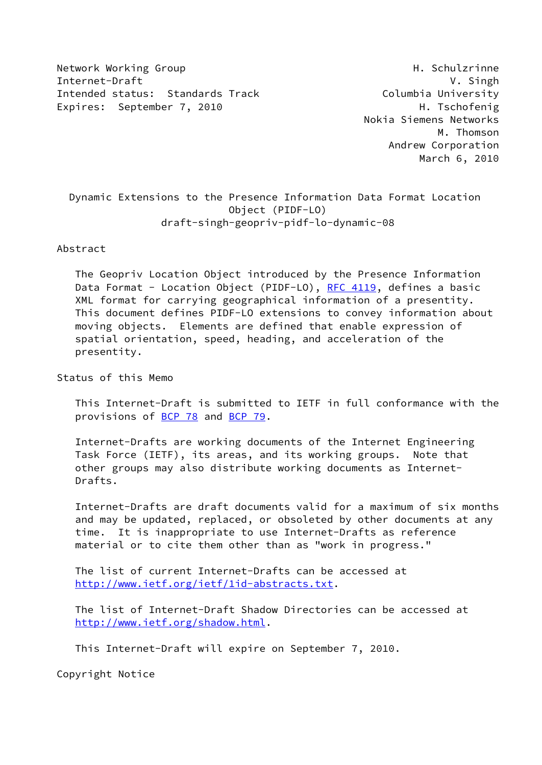Network Working Group **H. Schulzrinne** Internet-Draft V. Singh Intended status: Standards Track Columbia University Expires: September 7, 2010 H. Tschofenig

 Nokia Siemens Networks M. Thomson Andrew Corporation March 6, 2010

 Dynamic Extensions to the Presence Information Data Format Location Object (PIDF-LO) draft-singh-geopriv-pidf-lo-dynamic-08

Abstract

 The Geopriv Location Object introduced by the Presence Information Data Format - Location Object (PIDF-LO), [RFC 4119](https://datatracker.ietf.org/doc/pdf/rfc4119), defines a basic XML format for carrying geographical information of a presentity. This document defines PIDF-LO extensions to convey information about moving objects. Elements are defined that enable expression of spatial orientation, speed, heading, and acceleration of the presentity.

Status of this Memo

 This Internet-Draft is submitted to IETF in full conformance with the provisions of [BCP 78](https://datatracker.ietf.org/doc/pdf/bcp78) and [BCP 79](https://datatracker.ietf.org/doc/pdf/bcp79).

 Internet-Drafts are working documents of the Internet Engineering Task Force (IETF), its areas, and its working groups. Note that other groups may also distribute working documents as Internet- Drafts.

 Internet-Drafts are draft documents valid for a maximum of six months and may be updated, replaced, or obsoleted by other documents at any time. It is inappropriate to use Internet-Drafts as reference material or to cite them other than as "work in progress."

 The list of current Internet-Drafts can be accessed at <http://www.ietf.org/ietf/1id-abstracts.txt>.

 The list of Internet-Draft Shadow Directories can be accessed at <http://www.ietf.org/shadow.html>.

This Internet-Draft will expire on September 7, 2010.

Copyright Notice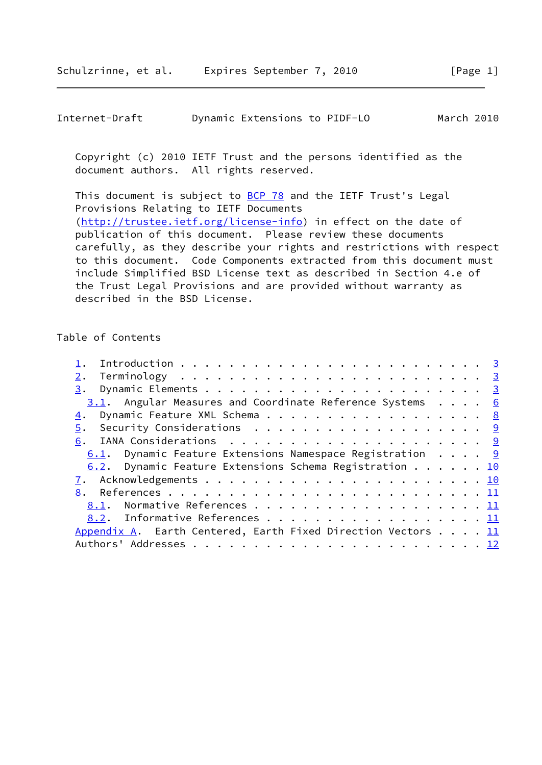| Internet-Draft | Dynamic Extensions to PIDF-LO | March 2010 |
|----------------|-------------------------------|------------|
|----------------|-------------------------------|------------|

 Copyright (c) 2010 IETF Trust and the persons identified as the document authors. All rights reserved.

This document is subject to **[BCP 78](https://datatracker.ietf.org/doc/pdf/bcp78)** and the IETF Trust's Legal Provisions Relating to IETF Documents [\(http://trustee.ietf.org/license-info](http://trustee.ietf.org/license-info)) in effect on the date of publication of this document. Please review these documents carefully, as they describe your rights and restrictions with respect to this document. Code Components extracted from this document must include Simplified BSD License text as described in Section 4.e of the Trust Legal Provisions and are provided without warranty as described in the BSD License.

# Table of Contents

| 2.                                                                |  |  |  |
|-------------------------------------------------------------------|--|--|--|
|                                                                   |  |  |  |
| 3.1. Angular Measures and Coordinate Reference Systems 6          |  |  |  |
| 4. Dynamic Feature XML Schema 8                                   |  |  |  |
| 5. Security Considerations 9                                      |  |  |  |
|                                                                   |  |  |  |
| 6.1. Dynamic Feature Extensions Namespace Registration $\ldots$ 9 |  |  |  |
| 6.2. Dynamic Feature Extensions Schema Registration 10            |  |  |  |
|                                                                   |  |  |  |
|                                                                   |  |  |  |
| 8.1. Normative References 11                                      |  |  |  |
| 8.2. Informative References 11                                    |  |  |  |
| Appendix A. Earth Centered, Earth Fixed Direction Vectors 11      |  |  |  |
|                                                                   |  |  |  |
|                                                                   |  |  |  |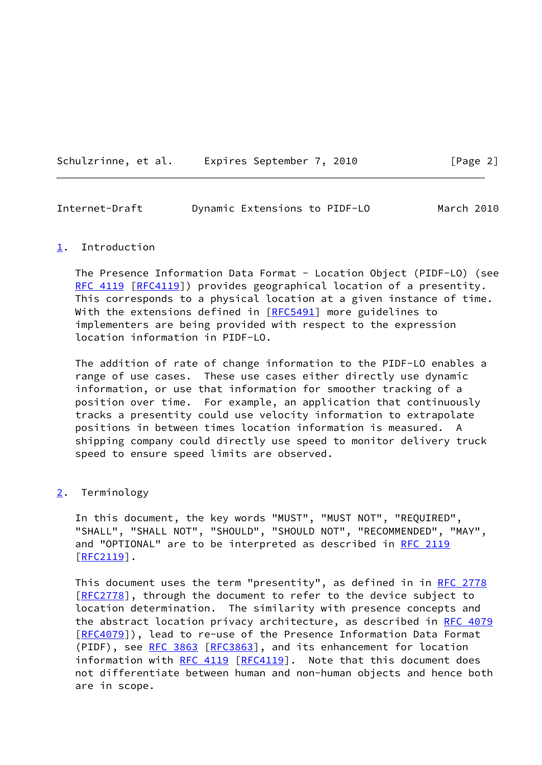| Schulzrinne, et al. |  | Expires September 7, 2010 |  |
|---------------------|--|---------------------------|--|
|                     |  |                           |  |

<span id="page-2-1"></span>

| Internet-Draft | Dynamic Extensions to PIDF-LO |  | March 2010 |  |
|----------------|-------------------------------|--|------------|--|
|                |                               |  |            |  |

 $[Page 2]$ 

#### <span id="page-2-0"></span>[1](#page-2-0). Introduction

 The Presence Information Data Format - Location Object (PIDF-LO) (see [RFC 4119](https://datatracker.ietf.org/doc/pdf/rfc4119) [\[RFC4119](https://datatracker.ietf.org/doc/pdf/rfc4119)]) provides geographical location of a presentity. This corresponds to a physical location at a given instance of time. With the extensions defined in [\[RFC5491](https://datatracker.ietf.org/doc/pdf/rfc5491)] more guidelines to implementers are being provided with respect to the expression location information in PIDF-LO.

 The addition of rate of change information to the PIDF-LO enables a range of use cases. These use cases either directly use dynamic information, or use that information for smoother tracking of a position over time. For example, an application that continuously tracks a presentity could use velocity information to extrapolate positions in between times location information is measured. A shipping company could directly use speed to monitor delivery truck speed to ensure speed limits are observed.

# <span id="page-2-2"></span>[2](#page-2-2). Terminology

 In this document, the key words "MUST", "MUST NOT", "REQUIRED", "SHALL", "SHALL NOT", "SHOULD", "SHOULD NOT", "RECOMMENDED", "MAY", and "OPTIONAL" are to be interpreted as described in [RFC 2119](https://datatracker.ietf.org/doc/pdf/rfc2119) [\[RFC2119](https://datatracker.ietf.org/doc/pdf/rfc2119)].

This document uses the term "presentity", as defined in in [RFC 2778](https://datatracker.ietf.org/doc/pdf/rfc2778) [\[RFC2778](https://datatracker.ietf.org/doc/pdf/rfc2778)], through the document to refer to the device subject to location determination. The similarity with presence concepts and the abstract location privacy architecture, as described in [RFC 4079](https://datatracker.ietf.org/doc/pdf/rfc4079) [\[RFC4079](https://datatracker.ietf.org/doc/pdf/rfc4079)]), lead to re-use of the Presence Information Data Format (PIDF), see [RFC 3863 \[RFC3863](https://datatracker.ietf.org/doc/pdf/rfc3863)], and its enhancement for location information with  $RFC 4119$   $[REC4119]$ . Note that this document does not differentiate between human and non-human objects and hence both are in scope.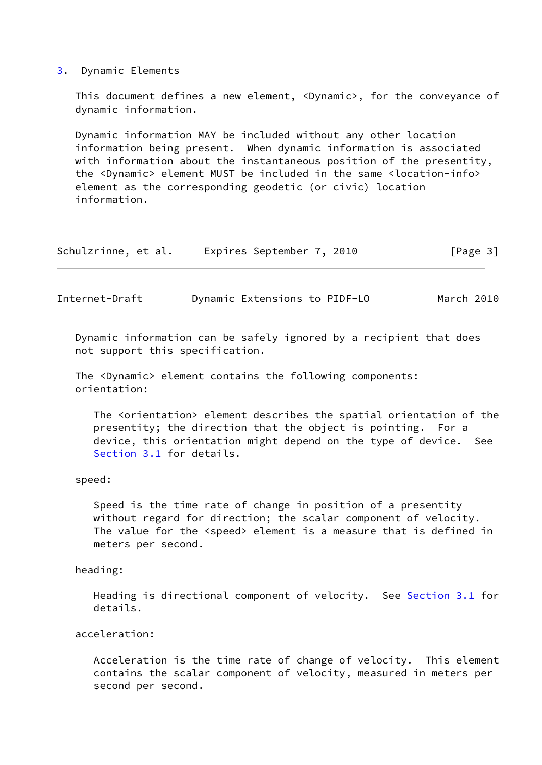## <span id="page-3-0"></span>[3](#page-3-0). Dynamic Elements

 This document defines a new element, <Dynamic>, for the conveyance of dynamic information.

 Dynamic information MAY be included without any other location information being present. When dynamic information is associated with information about the instantaneous position of the presentity, the <Dynamic> element MUST be included in the same <location-info> element as the corresponding geodetic (or civic) location information.

| Schulzrinne, et al. | Expires September 7, 2010 |  | [Page 3] |
|---------------------|---------------------------|--|----------|
|---------------------|---------------------------|--|----------|

Internet-Draft Dynamic Extensions to PIDF-LO March 2010

 Dynamic information can be safely ignored by a recipient that does not support this specification.

 The <Dynamic> element contains the following components: orientation:

 The <orientation> element describes the spatial orientation of the presentity; the direction that the object is pointing. For a device, this orientation might depend on the type of device. See [Section 3.1](#page-6-0) for details.

### speed:

 Speed is the time rate of change in position of a presentity without regard for direction; the scalar component of velocity. The value for the <speed> element is a measure that is defined in meters per second.

# heading:

Heading is directional component of velocity. See [Section 3.1](#page-6-0) for details.

acceleration:

 Acceleration is the time rate of change of velocity. This element contains the scalar component of velocity, measured in meters per second per second.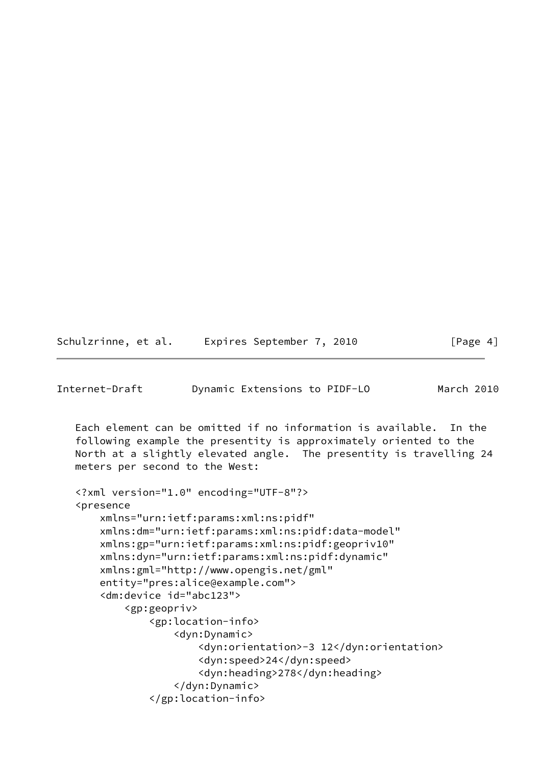| Schulzrinne, et al. | Expires September 7, 2010 | [Page 4] |
|---------------------|---------------------------|----------|
|---------------------|---------------------------|----------|

```
Internet-Draft Dynamic Extensions to PIDF-LO March 2010
   Each element can be omitted if no information is available. In the
   following example the presentity is approximately oriented to the
   North at a slightly elevated angle. The presentity is travelling 24
   meters per second to the West:
   <?xml version="1.0" encoding="UTF-8"?>
   <presence
       xmlns="urn:ietf:params:xml:ns:pidf"
       xmlns:dm="urn:ietf:params:xml:ns:pidf:data-model"
       xmlns:gp="urn:ietf:params:xml:ns:pidf:geopriv10"
       xmlns:dyn="urn:ietf:params:xml:ns:pidf:dynamic"
       xmlns:gml="http://www.opengis.net/gml"
       entity="pres:alice@example.com">
       <dm:device id="abc123">
           <gp:geopriv>
               <gp:location-info>
                   <dyn:Dynamic>
                       <dyn:orientation>-3 12</dyn:orientation>
                       <dyn:speed>24</dyn:speed>
                       <dyn:heading>278</dyn:heading>
                   </dyn:Dynamic>
               </gp:location-info>
```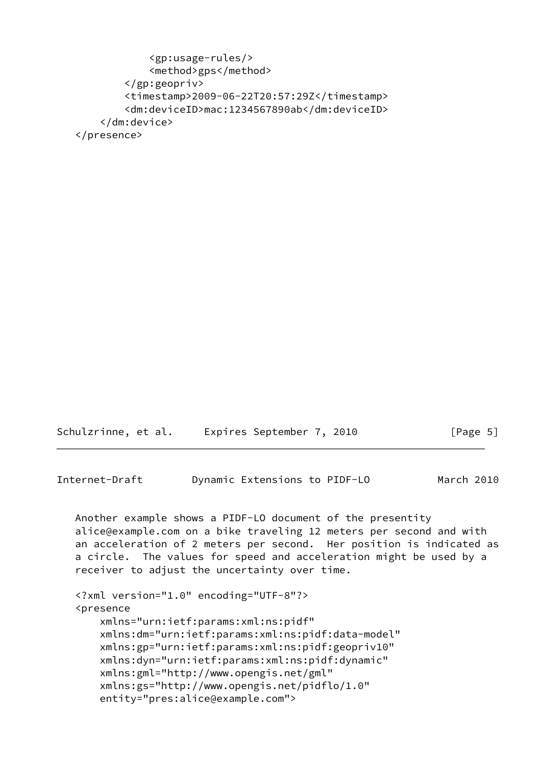```
 <gp:usage-rules/>
            <method>gps</method>
        </gp:geopriv>
        <timestamp>2009-06-22T20:57:29Z</timestamp>
        <dm:deviceID>mac:1234567890ab</dm:deviceID>
    </dm:device>
</presence>
```

| Schulzrinne, et al. | Expires September 7, 2010 | [Page 5] |
|---------------------|---------------------------|----------|
|                     |                           |          |

```
Internet-Draft Dynamic Extensions to PIDF-LO March 2010
```

```
 Another example shows a PIDF-LO document of the presentity
alice@example.com on a bike traveling 12 meters per second and with
an acceleration of 2 meters per second. Her position is indicated as
a circle. The values for speed and acceleration might be used by a
receiver to adjust the uncertainty over time.
```

```
 <?xml version="1.0" encoding="UTF-8"?>
<presence
    xmlns="urn:ietf:params:xml:ns:pidf"
    xmlns:dm="urn:ietf:params:xml:ns:pidf:data-model"
    xmlns:gp="urn:ietf:params:xml:ns:pidf:geopriv10"
    xmlns:dyn="urn:ietf:params:xml:ns:pidf:dynamic"
    xmlns:gml="http://www.opengis.net/gml"
    xmlns:gs="http://www.opengis.net/pidflo/1.0"
    entity="pres:alice@example.com">
```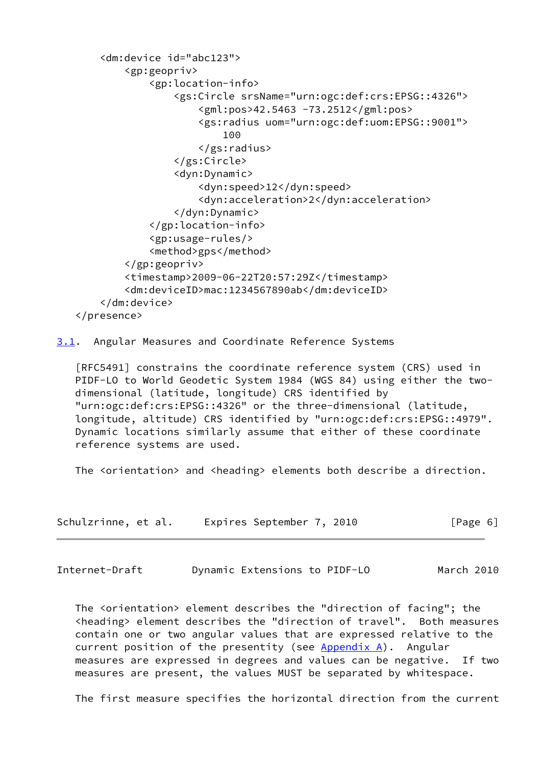```
 <dm:device id="abc123">
           <gp:geopriv>
               <gp:location-info>
                   <gs:Circle srsName="urn:ogc:def:crs:EPSG::4326">
                       <gml:pos>42.5463 -73.2512</gml:pos>
                       <gs:radius uom="urn:ogc:def:uom:EPSG::9001">
100
                       </gs:radius>
                   </gs:Circle>
                   <dyn:Dynamic>
                       <dyn:speed>12</dyn:speed>
                       <dyn:acceleration>2</dyn:acceleration>
                   </dyn:Dynamic>
               </gp:location-info>
               <gp:usage-rules/>
               <method>gps</method>
           </gp:geopriv>
           <timestamp>2009-06-22T20:57:29Z</timestamp>
           <dm:deviceID>mac:1234567890ab</dm:deviceID>
       </dm:device>
   </presence>
```
<span id="page-6-0"></span>[3.1](#page-6-0). Angular Measures and Coordinate Reference Systems

 [RFC5491] constrains the coordinate reference system (CRS) used in PIDF-LO to World Geodetic System 1984 (WGS 84) using either the two dimensional (latitude, longitude) CRS identified by "urn:ogc:def:crs:EPSG::4326" or the three-dimensional (latitude, longitude, altitude) CRS identified by "urn:ogc:def:crs:EPSG::4979". Dynamic locations similarly assume that either of these coordinate reference systems are used.

The <orientation> and <heading> elements both describe a direction.

| Schulzrinne, et al. | Expires September 7, 2010 | [Page 6] |
|---------------------|---------------------------|----------|
|---------------------|---------------------------|----------|

Internet-Draft Dynamic Extensions to PIDF-LO March 2010

 The <orientation> element describes the "direction of facing"; the <heading> element describes the "direction of travel". Both measures contain one or two angular values that are expressed relative to the current position of the presentity (see  $Appendix A)$ . Angular measures are expressed in degrees and values can be negative. If two measures are present, the values MUST be separated by whitespace.

The first measure specifies the horizontal direction from the current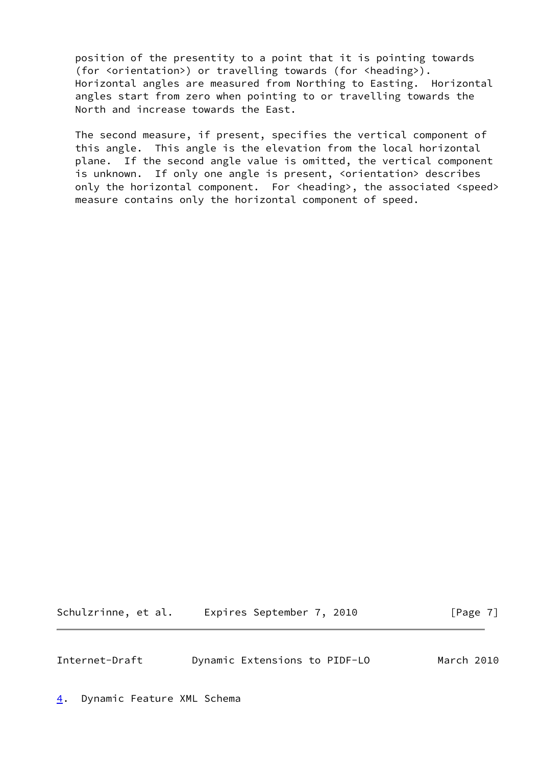position of the presentity to a point that it is pointing towards (for <orientation>) or travelling towards (for <heading>). Horizontal angles are measured from Northing to Easting. Horizontal angles start from zero when pointing to or travelling towards the North and increase towards the East.

 The second measure, if present, specifies the vertical component of this angle. This angle is the elevation from the local horizontal plane. If the second angle value is omitted, the vertical component is unknown. If only one angle is present, <orientation> describes only the horizontal component. For <heading>, the associated <speed> measure contains only the horizontal component of speed.

Schulzrinne, et al. Expires September 7, 2010 [Page 7]

<span id="page-7-1"></span>Internet-Draft Dynamic Extensions to PIDF-LO March 2010

<span id="page-7-0"></span>[4](#page-7-0). Dynamic Feature XML Schema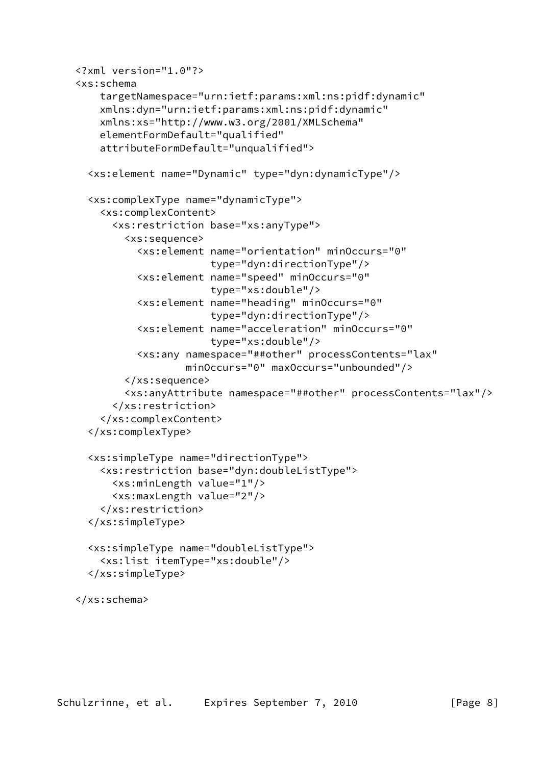```
 <?xml version="1.0"?>
<xs:schema
   targetNamespace="urn:ietf:params:xml:ns:pidf:dynamic"
   xmlns:dyn="urn:ietf:params:xml:ns:pidf:dynamic"
   xmlns:xs="http://www.w3.org/2001/XMLSchema"
   elementFormDefault="qualified"
   attributeFormDefault="unqualified">
 <xs:element name="Dynamic" type="dyn:dynamicType"/>
 <xs:complexType name="dynamicType">
    <xs:complexContent>
      <xs:restriction base="xs:anyType">
        <xs:sequence>
          <xs:element name="orientation" minOccurs="0"
                       type="dyn:directionType"/>
          <xs:element name="speed" minOccurs="0"
                       type="xs:double"/>
          <xs:element name="heading" minOccurs="0"
                       type="dyn:directionType"/>
          <xs:element name="acceleration" minOccurs="0"
                       type="xs:double"/>
          <xs:any namespace="##other" processContents="lax"
                  minOccurs="0" maxOccurs="unbounded"/>
        </xs:sequence>
        <xs:anyAttribute namespace="##other" processContents="lax"/>
      </xs:restriction>
    </xs:complexContent>
  </xs:complexType>
 <xs:simpleType name="directionType">
    <xs:restriction base="dyn:doubleListType">
      <xs:minLength value="1"/>
      <xs:maxLength value="2"/>
    </xs:restriction>
  </xs:simpleType>
  <xs:simpleType name="doubleListType">
    <xs:list itemType="xs:double"/>
  </xs:simpleType>
</xs:schema>
```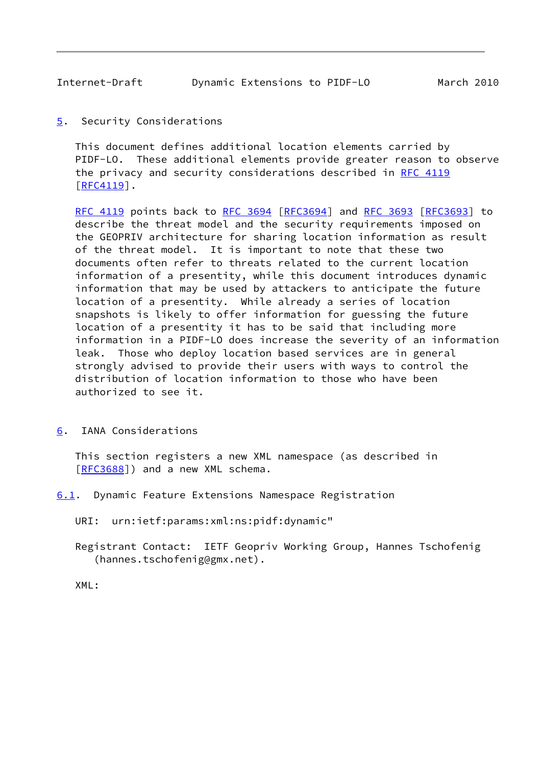<span id="page-9-1"></span>Internet-Draft Dynamic Extensions to PIDF-LO March 2010

<span id="page-9-0"></span>[5](#page-9-0). Security Considerations

 This document defines additional location elements carried by PIDF-LO. These additional elements provide greater reason to observe the privacy and security considerations described in [RFC 4119](https://datatracker.ietf.org/doc/pdf/rfc4119) [\[RFC4119](https://datatracker.ietf.org/doc/pdf/rfc4119)].

 [RFC 4119](https://datatracker.ietf.org/doc/pdf/rfc4119) points back to [RFC 3694](https://datatracker.ietf.org/doc/pdf/rfc3694) [\[RFC3694](https://datatracker.ietf.org/doc/pdf/rfc3694)] and [RFC 3693 \[RFC3693](https://datatracker.ietf.org/doc/pdf/rfc3693)] to describe the threat model and the security requirements imposed on the GEOPRIV architecture for sharing location information as result of the threat model. It is important to note that these two documents often refer to threats related to the current location information of a presentity, while this document introduces dynamic information that may be used by attackers to anticipate the future location of a presentity. While already a series of location snapshots is likely to offer information for guessing the future location of a presentity it has to be said that including more information in a PIDF-LO does increase the severity of an information leak. Those who deploy location based services are in general strongly advised to provide their users with ways to control the distribution of location information to those who have been authorized to see it.

<span id="page-9-2"></span>[6](#page-9-2). IANA Considerations

 This section registers a new XML namespace (as described in [\[RFC3688](https://datatracker.ietf.org/doc/pdf/rfc3688)]) and a new XML schema.

- <span id="page-9-3"></span>[6.1](#page-9-3). Dynamic Feature Extensions Namespace Registration
	- URI: urn:ietf:params:xml:ns:pidf:dynamic"
	- Registrant Contact: IETF Geopriv Working Group, Hannes Tschofenig (hannes.tschofenig@gmx.net).

XML: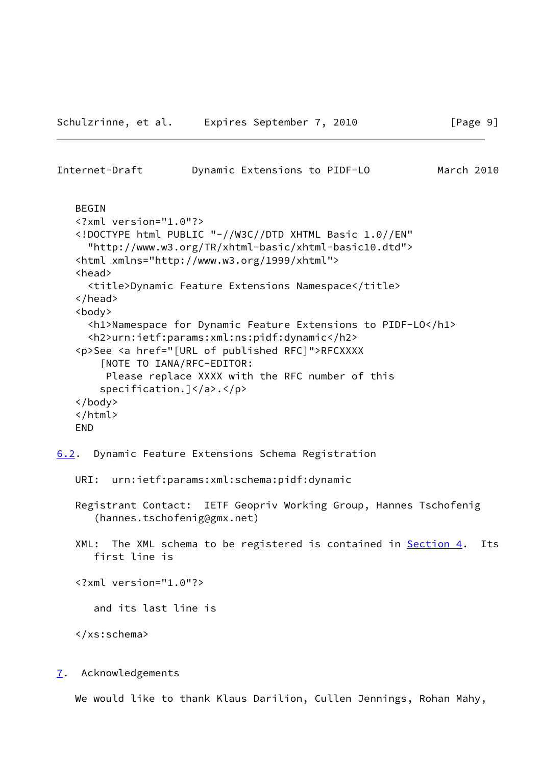```
 BEGIN
<?xml version="1.0"?>
<!DOCTYPE html PUBLIC "-//W3C//DTD XHTML Basic 1.0//EN"
  "http://www.w3.org/TR/xhtml-basic/xhtml-basic10.dtd">
<html xmlns="http://www.w3.org/1999/xhtml">
<head>
  <title>Dynamic Feature Extensions Namespace</title>
</head>
<body>
  <h1>Namespace for Dynamic Feature Extensions to PIDF-LO</h1>
  <h2>urn:ietf:params:xml:ns:pidf:dynamic</h2>
<p>See <a href="[URL of published RFC]">RFCXXXX
    [NOTE TO IANA/RFC-EDITOR:
     Please replace XXXX with the RFC number of this
   specification.]</a>.</p>
</body>
</html>
END
```
<span id="page-10-1"></span>Internet-Draft Dynamic Extensions to PIDF-LO March 2010

<span id="page-10-0"></span>[6.2](#page-10-0). Dynamic Feature Extensions Schema Registration

```
 URI: urn:ietf:params:xml:schema:pidf:dynamic
```
- Registrant Contact: IETF Geopriv Working Group, Hannes Tschofenig (hannes.tschofenig@gmx.net)
- XML: The XML schema to be registered is contained in **Section 4.** Its first line is

<?xml version="1.0"?>

and its last line is

</xs:schema>

<span id="page-10-2"></span>[7](#page-10-2). Acknowledgements

We would like to thank Klaus Darilion, Cullen Jennings, Rohan Mahy,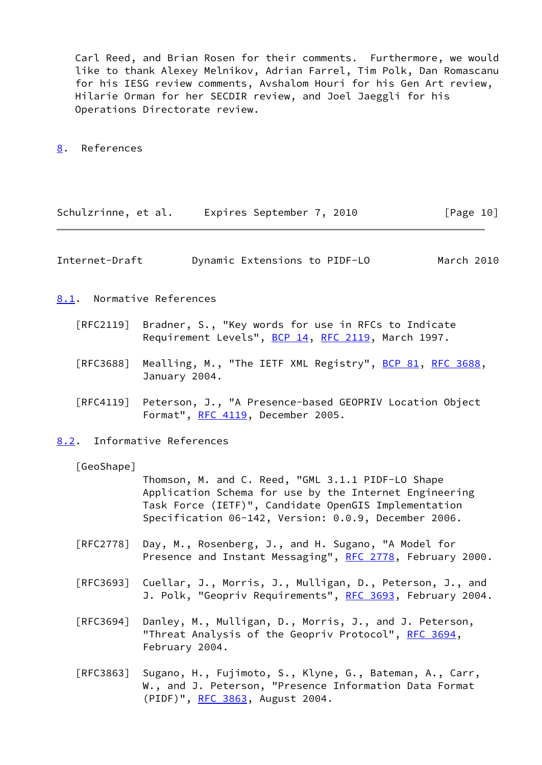Carl Reed, and Brian Rosen for their comments. Furthermore, we would like to thank Alexey Melnikov, Adrian Farrel, Tim Polk, Dan Romascanu for his IESG review comments, Avshalom Houri for his Gen Art review, Hilarie Orman for her SECDIR review, and Joel Jaeggli for his Operations Directorate review.

<span id="page-11-0"></span>[8](#page-11-0). References

| Schulzrinne, et al. | Expires September 7, 2010 | [Page 10] |
|---------------------|---------------------------|-----------|
|---------------------|---------------------------|-----------|

<span id="page-11-1"></span>Internet-Draft Dynamic Extensions to PIDF-LO March 2010

<span id="page-11-2"></span>[8.1](#page-11-2). Normative References

- [RFC2119] Bradner, S., "Key words for use in RFCs to Indicate Requirement Levels", [BCP 14](https://datatracker.ietf.org/doc/pdf/bcp14), [RFC 2119](https://datatracker.ietf.org/doc/pdf/rfc2119), March 1997.
- [RFC3688] Mealling, M., "The IETF XML Registry", [BCP 81](https://datatracker.ietf.org/doc/pdf/bcp81), [RFC 3688](https://datatracker.ietf.org/doc/pdf/rfc3688), January 2004.
- [RFC4119] Peterson, J., "A Presence-based GEOPRIV Location Object Format", [RFC 4119,](https://datatracker.ietf.org/doc/pdf/rfc4119) December 2005.

<span id="page-11-3"></span>[8.2](#page-11-3). Informative References

[GeoShape]

 Thomson, M. and C. Reed, "GML 3.1.1 PIDF-LO Shape Application Schema for use by the Internet Engineering Task Force (IETF)", Candidate OpenGIS Implementation Specification 06-142, Version: 0.0.9, December 2006.

- [RFC2778] Day, M., Rosenberg, J., and H. Sugano, "A Model for Presence and Instant Messaging", [RFC 2778,](https://datatracker.ietf.org/doc/pdf/rfc2778) February 2000.
- [RFC3693] Cuellar, J., Morris, J., Mulligan, D., Peterson, J., and J. Polk, "Geopriv Requirements", [RFC 3693,](https://datatracker.ietf.org/doc/pdf/rfc3693) February 2004.
- [RFC3694] Danley, M., Mulligan, D., Morris, J., and J. Peterson, "Threat Analysis of the Geopriv Protocol", [RFC 3694](https://datatracker.ietf.org/doc/pdf/rfc3694), February 2004.
- [RFC3863] Sugano, H., Fujimoto, S., Klyne, G., Bateman, A., Carr, W., and J. Peterson, "Presence Information Data Format (PIDF)", [RFC 3863,](https://datatracker.ietf.org/doc/pdf/rfc3863) August 2004.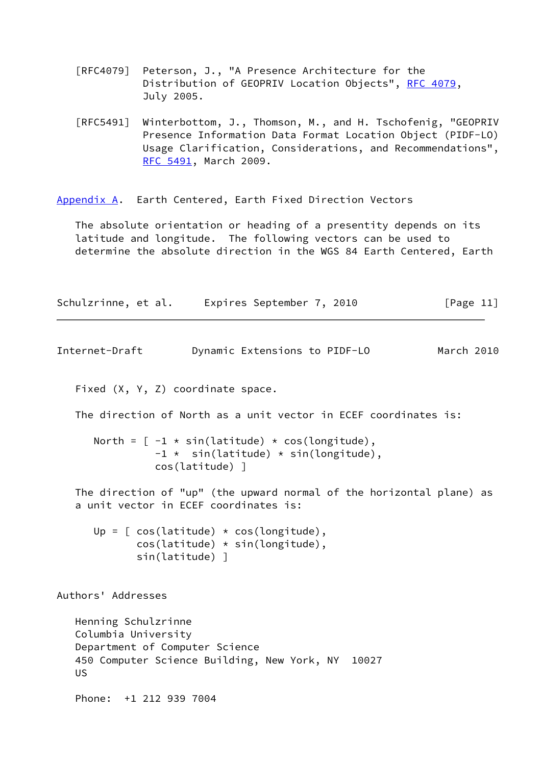- [RFC4079] Peterson, J., "A Presence Architecture for the Distribution of GEOPRIV Location Objects", [RFC 4079](https://datatracker.ietf.org/doc/pdf/rfc4079), July 2005.
- [RFC5491] Winterbottom, J., Thomson, M., and H. Tschofenig, "GEOPRIV Presence Information Data Format Location Object (PIDF-LO) Usage Clarification, Considerations, and Recommendations", [RFC 5491,](https://datatracker.ietf.org/doc/pdf/rfc5491) March 2009.

<span id="page-12-0"></span>[Appendix A.](#page-12-0) Earth Centered, Earth Fixed Direction Vectors

 The absolute orientation or heading of a presentity depends on its latitude and longitude. The following vectors can be used to determine the absolute direction in the WGS 84 Earth Centered, Earth

| [Page 11]<br>Expires September 7, 2010<br>Schulzrinne, et al. |  |
|---------------------------------------------------------------|--|
|---------------------------------------------------------------|--|

```
Internet-Draft Dynamic Extensions to PIDF-LO March 2010
```
Fixed (X, Y, Z) coordinate space.

The direction of North as a unit vector in ECEF coordinates is:

North =  $[-1 * sin(latitude) * cos(longitude),$  $-1$   $\star$  sin(latitude)  $\star$  sin(longitude), cos(latitude) ]

 The direction of "up" (the upward normal of the horizontal plane) as a unit vector in ECEF coordinates is:

Up =  $[ \cos(\text{lattice}) \times \cos(\text{longitude}),$  cos(latitude) \* sin(longitude), sin(latitude) ]

Authors' Addresses

 Henning Schulzrinne Columbia University Department of Computer Science 450 Computer Science Building, New York, NY 10027 US

Phone: +1 212 939 7004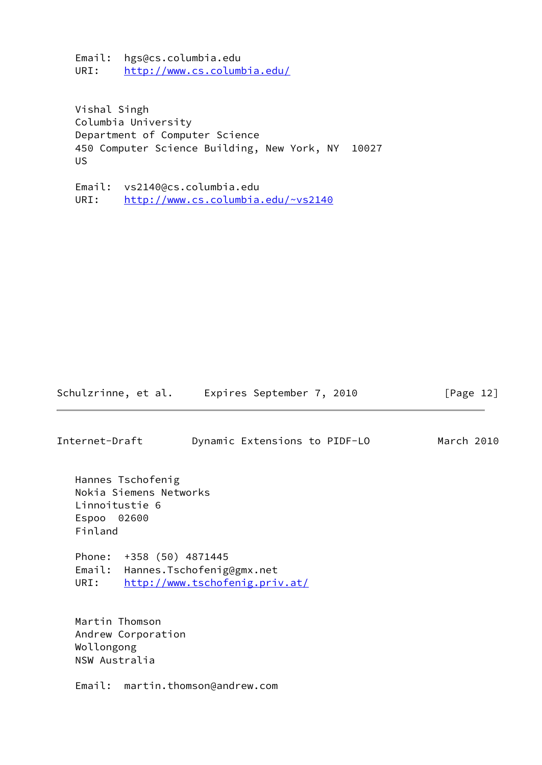Email: hgs@cs.columbia.edu URI: <http://www.cs.columbia.edu/>

 Vishal Singh Columbia University Department of Computer Science 450 Computer Science Building, New York, NY 10027 US

 Email: vs2140@cs.columbia.edu URI: <http://www.cs.columbia.edu/~vs2140>

Schulzrinne, et al. Expires September 7, 2010 [Page 12]

Internet-Draft Dynamic Extensions to PIDF-LO March 2010

 Hannes Tschofenig Nokia Siemens Networks Linnoitustie 6 Espoo 02600 Finland

 Phone: +358 (50) 4871445 Email: Hannes.Tschofenig@gmx.net URI: <http://www.tschofenig.priv.at/>

 Martin Thomson Andrew Corporation Wollongong NSW Australia

Email: martin.thomson@andrew.com